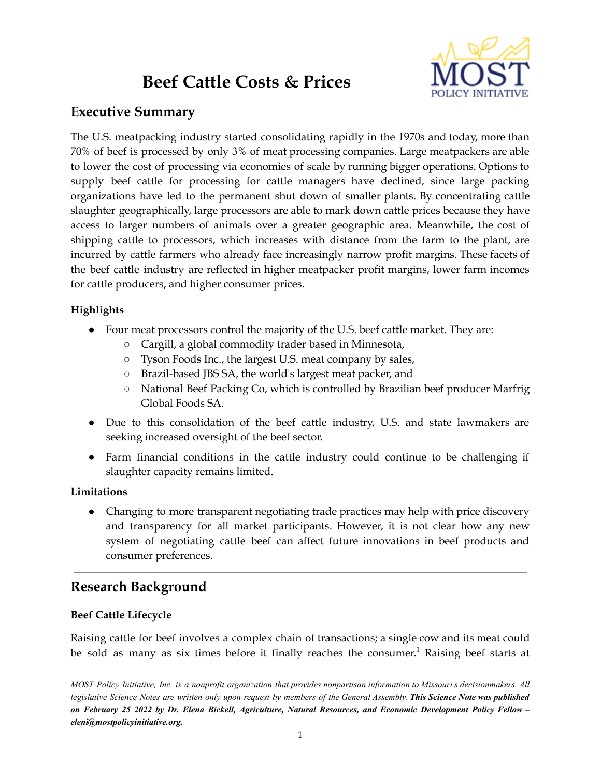# **Beef Cattle Costs & Prices**



## **Executive Summary**

The U.S. meatpacking industry started consolidating rapidly in the 1970s and today, more than 70% of beef is processed by only 3% of meat processing companies. Large meatpackers are able to lower the cost of processing via economies of scale by running bigger operations. Options to supply beef cattle for processing for cattle managers have declined, since large packing organizations have led to the permanent shut down of smaller plants. By concentrating cattle slaughter geographically, large processors are able to mark down cattle prices because they have access to larger numbers of animals over a greater geographic area. Meanwhile, the cost of shipping cattle to processors, which increases with distance from the farm to the plant, are incurred by cattle farmers who already face increasingly narrow profit margins. These facets of the beef cattle industry are reflected in higher meatpacker profit margins, lower farm incomes for cattle producers, and higher consumer prices.

#### **Highlights**

- Four meat processors control the majority of the U.S. beef cattle market. They are:
	- Cargill, a global commodity trader based in Minnesota,
	- Tyson Foods Inc., the largest U.S. meat company by sales,
	- Brazil-based JBS SA, the world's largest meat packer, and
	- National Beef Packing Co, which is controlled by Brazilian beef producer Marfrig Global Foods SA.
- Due to this consolidation of the beef cattle industry, U.S. and state lawmakers are seeking increased oversight of the beef sector.
- Farm financial conditions in the cattle industry could continue to be challenging if slaughter capacity remains limited.

#### **Limitations**

• Changing to more transparent negotiating trade practices may help with price discovery and transparency for all market participants. However, it is not clear how any new system of negotiating cattle beef can affect future innovations in beef products and consumer preferences.

## **Research Background**

#### **Beef Cattle Lifecycle**

Raising cattle for beef involves a complex chain of transactions; a single cow and its meat could be sold as many as six times before it finally reaches the consumer. <sup>1</sup> Raising beef starts at

MOST Policy Initiative, Inc. is a nonprofit organization that provides nonpartisan information to Missouri's decisionmakers. All legislative Science Notes are written only upon request by members of the General Assembly. This Science Note was published on February 25 2022 by Dr. Elena Bickell, Agriculture, Natural Resources, and Economic Development Policy Fellow *eleni@mostpolicyinitiative.org.*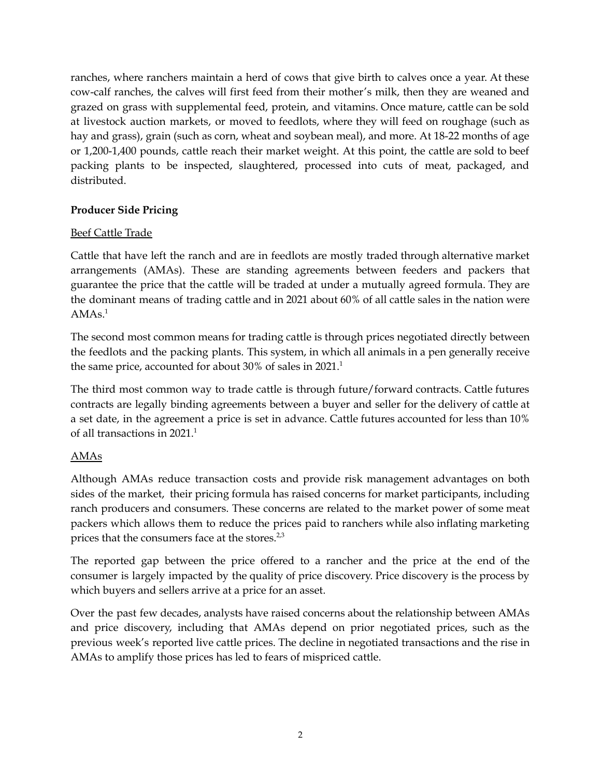ranches, where ranchers maintain a herd of cows that give birth to calves once a year. At these cow-calf ranches, the calves will first feed from their mother's milk, then they are weaned and grazed on grass with supplemental feed, protein, and vitamins. Once mature, cattle can be sold at livestock auction markets, or moved to feedlots, where they will feed on roughage (such as hay and grass), grain (such as corn, wheat and soybean meal), and more. At 18-22 months of age or 1,200-1,400 pounds, cattle reach their market weight. At this point, the cattle are sold to beef packing plants to be inspected, slaughtered, processed into cuts of meat, packaged, and distributed.

#### **Producer Side Pricing**

#### Beef Cattle Trade

Cattle that have left the ranch and are in feedlots are mostly traded through alternative market arrangements (AMAs). These are standing agreements between feeders and packers that guarantee the price that the cattle will be traded at under a mutually agreed formula. They are the dominant means of trading cattle and in 2021 about 60% of all cattle sales in the nation were AMAs. 1

The second most common means for trading cattle is through prices negotiated directly between the feedlots and the packing plants. This system, in which all animals in a pen generally receive the same price, accounted for about 30% of sales in 2021. 1

The third most common way to trade cattle is through future/forward contracts. Cattle futures contracts are legally binding agreements between a buyer and seller for the delivery of cattle at a set date, in the agreement a price is set in advance. Cattle futures accounted for less than 10% of all transactions in 2021. 1

#### AMAs

Although AMAs reduce transaction costs and provide risk management advantages on both sides of the market, their pricing formula has raised concerns for market participants, including ranch producers and consumers. These concerns are related to the market power of some meat packers which allows them to reduce the prices paid to ranchers while also inflating marketing prices that the consumers face at the stores.<sup>2,3</sup>

The reported gap between the price offered to a rancher and the price at the end of the consumer is largely impacted by the quality of price discovery. Price discovery is the process by which buyers and sellers arrive at a price for an asset.

Over the past few decades, analysts have raised concerns about the relationship between AMAs and price discovery, including that AMAs depend on prior negotiated prices, such as the previous week's reported live cattle prices. The decline in negotiated transactions and the rise in AMAs to amplify those prices has led to fears of mispriced cattle.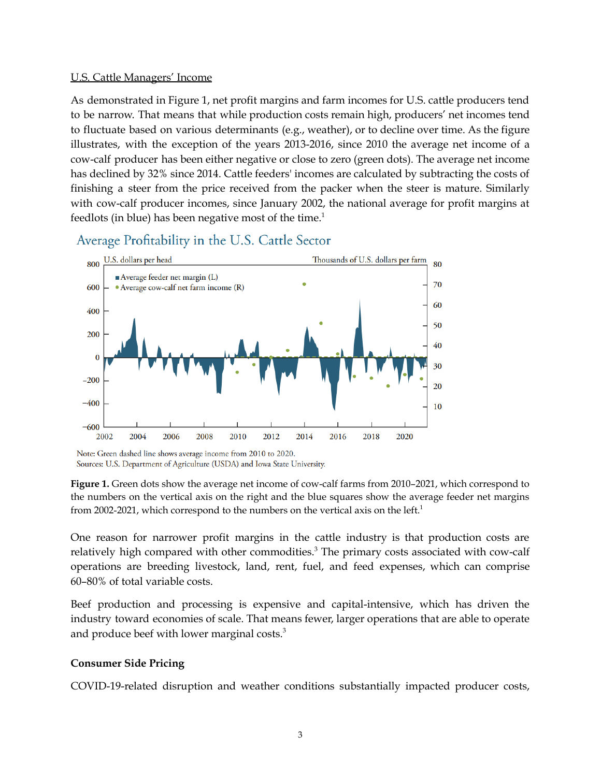#### U.S. Cattle Managers' Income

As demonstrated in Figure 1, net profit margins and farm incomes for U.S. cattle producers tend to be narrow. That means that while production costs remain high, producers' net incomes tend to fluctuate based on various determinants (e.g., weather), or to decline over time. As the figure illustrates, with the exception of the years 2013-2016, since 2010 the average net income of a cow-calf producer has been either negative or close to zero (green dots). The average net income has declined by 32% since 2014. Cattle feeders' incomes are calculated by subtracting the costs of finishing a steer from the price received from the packer when the steer is mature. Similarly with cow-calf producer incomes, since January 2002, the national average for profit margins at feedlots (in blue) has been negative most of the time. 1



### Average Profitability in the U.S. Cattle Sector

One reason for narrower profit margins in the cattle industry is that production costs are relatively high compared with other commodities. <sup>3</sup> The primary costs associated with cow-calf operations are breeding livestock, land, rent, fuel, and feed expenses, which can comprise 60–80% of total variable costs.

Beef production and processing is expensive and capital-intensive, which has driven the industry toward economies of scale. That means fewer, larger operations that are able to operate and produce beef with lower marginal costs. $3$ 

#### **Consumer Side Pricing**

COVID-19-related disruption and weather conditions substantially impacted producer costs,

Note: Green dashed line shows average income from 2010 to 2020. Sources: U.S. Department of Agriculture (USDA) and Iowa State University.

**Figure 1.** Green dots show the average net income of cow-calf farms from 2010–2021, which correspond to the numbers on the vertical axis on the right and the blue squares show the average feeder net margins from 2002-2021, which correspond to the numbers on the vertical axis on the left.<sup>1</sup>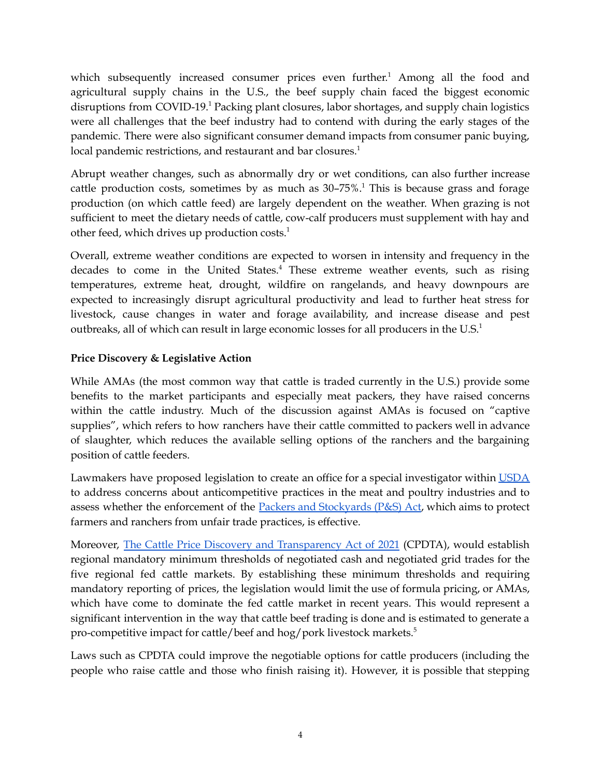which subsequently increased consumer prices even further.<sup>1</sup> Among all the food and agricultural supply chains in the U.S., the beef supply chain faced the biggest economic disruptions from COVID-19. <sup>1</sup> Packing plant closures, labor shortages, and supply chain logistics were all challenges that the beef industry had to contend with during the early stages of the pandemic. There were also significant consumer demand impacts from consumer panic buying, local pandemic restrictions, and restaurant and bar closures.<sup>1</sup>

Abrupt weather changes, such as abnormally dry or wet conditions, can also further increase cattle production costs, sometimes by as much as 30–75%. <sup>1</sup> This is because grass and forage production (on which cattle feed) are largely dependent on the weather. When grazing is not sufficient to meet the dietary needs of cattle, cow-calf producers must supplement with hay and other feed, which drives up production costs. 1

Overall, extreme weather conditions are expected to worsen in intensity and frequency in the decades to come in the United States. <sup>4</sup> These extreme weather events, such as rising temperatures, extreme heat, drought, wildfire on rangelands, and heavy downpours are expected to increasingly disrupt agricultural productivity and lead to further heat stress for livestock, cause changes in water and forage availability, and increase disease and pest outbreaks, all of which can result in large economic losses for all producers in the U.S.<sup>1</sup>

#### **Price Discovery & Legislative Action**

While AMAs (the most common way that cattle is traded currently in the U.S.) provide some benefits to the market participants and especially meat packers, they have raised concerns within the cattle industry. Much of the discussion against AMAs is focused on "captive supplies", which refers to how ranchers have their cattle committed to packers well in advance of slaughter, which reduces the available selling options of the ranchers and the bargaining position of cattle feeders.

Lawmakers have proposed legislation to create an office for a special investigator within [USDA](https://www.usda.gov/media/press-releases/2021/06/11/usda-begin-work-strengthen-enforcement-packers-and-stockyards-act) to address concerns about anticompetitive practices in the meat and poultry industries and to assess whether the enforcement of the Packers and [Stockyards](https://www.ams.usda.gov/services/enforcement/psd) (P&S) Act, which aims to protect farmers and ranchers from unfair trade practices, is effective.

Moreover, The Cattle Price Discovery and [Transparency](https://www.congress.gov/bill/117th-congress/senate-bill/3229/text?r=3&s=1#:~:text=Introduced%20in%20Senate%20(11%2F17%2F2021)&text=To%20amend%20the%20Agricultural%20Marketing,library%2C%20and%20for%20other%20purposes.&text=A%20BILL-,To%20amend%20the%20Agricultural%20Marketing%20Act%20of%201946%20to%20establish,library%2C%20and%20for%20other%20purposes.) Act of 2021 (CPDTA), would establish regional mandatory minimum thresholds of negotiated cash and negotiated grid trades for the five regional fed cattle markets. By establishing these minimum thresholds and requiring mandatory reporting of prices, the legislation would limit the use of formula pricing, or AMAs, which have come to dominate the fed cattle market in recent years. This would represent a significant intervention in the way that cattle beef trading is done and is estimated to generate a pro-competitive impact for cattle/beef and hog/pork livestock markets. 5

Laws such as CPDTA could improve the negotiable options for cattle producers (including the people who raise cattle and those who finish raising it). However, it is possible that stepping